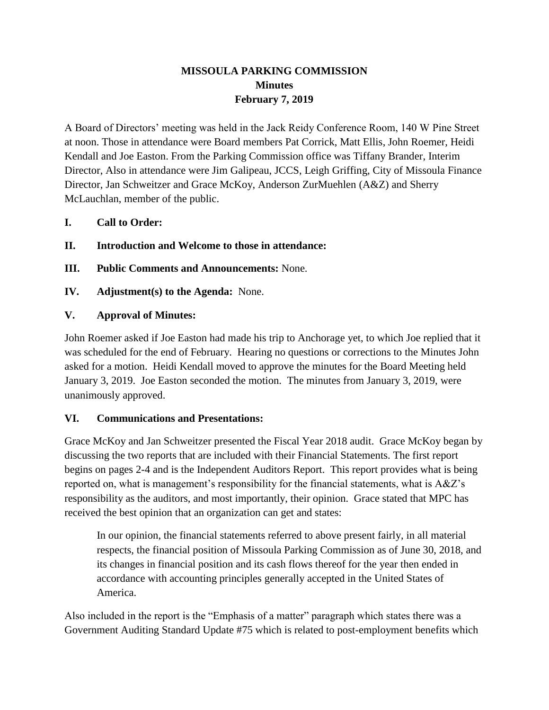# **MISSOULA PARKING COMMISSION Minutes February 7, 2019**

A Board of Directors' meeting was held in the Jack Reidy Conference Room, 140 W Pine Street at noon. Those in attendance were Board members Pat Corrick, Matt Ellis, John Roemer, Heidi Kendall and Joe Easton. From the Parking Commission office was Tiffany Brander, Interim Director, Also in attendance were Jim Galipeau, JCCS, Leigh Griffing, City of Missoula Finance Director, Jan Schweitzer and Grace McKoy, Anderson ZurMuehlen (A&Z) and Sherry McLauchlan, member of the public.

- **I. Call to Order:**
- **II. Introduction and Welcome to those in attendance:**
- **III. Public Comments and Announcements:** None.
- **IV. Adjustment(s) to the Agenda:** None.

### **V. Approval of Minutes:**

John Roemer asked if Joe Easton had made his trip to Anchorage yet, to which Joe replied that it was scheduled for the end of February. Hearing no questions or corrections to the Minutes John asked for a motion. Heidi Kendall moved to approve the minutes for the Board Meeting held January 3, 2019. Joe Easton seconded the motion. The minutes from January 3, 2019, were unanimously approved.

#### **VI. Communications and Presentations:**

Grace McKoy and Jan Schweitzer presented the Fiscal Year 2018 audit. Grace McKoy began by discussing the two reports that are included with their Financial Statements. The first report begins on pages 2-4 and is the Independent Auditors Report. This report provides what is being reported on, what is management's responsibility for the financial statements, what is A&Z's responsibility as the auditors, and most importantly, their opinion. Grace stated that MPC has received the best opinion that an organization can get and states:

In our opinion, the financial statements referred to above present fairly, in all material respects, the financial position of Missoula Parking Commission as of June 30, 2018, and its changes in financial position and its cash flows thereof for the year then ended in accordance with accounting principles generally accepted in the United States of America.

Also included in the report is the "Emphasis of a matter" paragraph which states there was a Government Auditing Standard Update #75 which is related to post-employment benefits which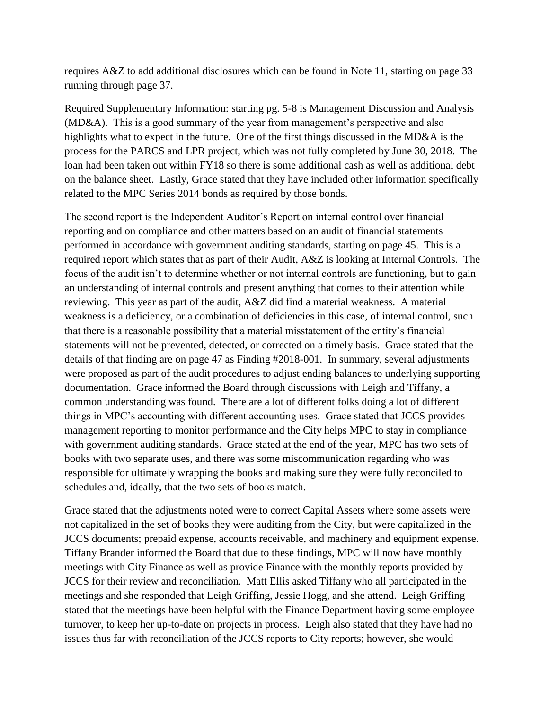requires A&Z to add additional disclosures which can be found in Note 11, starting on page 33 running through page 37.

Required Supplementary Information: starting pg. 5-8 is Management Discussion and Analysis (MD&A). This is a good summary of the year from management's perspective and also highlights what to expect in the future. One of the first things discussed in the MD&A is the process for the PARCS and LPR project, which was not fully completed by June 30, 2018. The loan had been taken out within FY18 so there is some additional cash as well as additional debt on the balance sheet. Lastly, Grace stated that they have included other information specifically related to the MPC Series 2014 bonds as required by those bonds.

The second report is the Independent Auditor's Report on internal control over financial reporting and on compliance and other matters based on an audit of financial statements performed in accordance with government auditing standards, starting on page 45. This is a required report which states that as part of their Audit, A&Z is looking at Internal Controls. The focus of the audit isn't to determine whether or not internal controls are functioning, but to gain an understanding of internal controls and present anything that comes to their attention while reviewing. This year as part of the audit, A&Z did find a material weakness. A material weakness is a deficiency, or a combination of deficiencies in this case, of internal control, such that there is a reasonable possibility that a material misstatement of the entity's financial statements will not be prevented, detected, or corrected on a timely basis. Grace stated that the details of that finding are on page 47 as Finding #2018-001. In summary, several adjustments were proposed as part of the audit procedures to adjust ending balances to underlying supporting documentation. Grace informed the Board through discussions with Leigh and Tiffany, a common understanding was found. There are a lot of different folks doing a lot of different things in MPC's accounting with different accounting uses. Grace stated that JCCS provides management reporting to monitor performance and the City helps MPC to stay in compliance with government auditing standards. Grace stated at the end of the year, MPC has two sets of books with two separate uses, and there was some miscommunication regarding who was responsible for ultimately wrapping the books and making sure they were fully reconciled to schedules and, ideally, that the two sets of books match.

Grace stated that the adjustments noted were to correct Capital Assets where some assets were not capitalized in the set of books they were auditing from the City, but were capitalized in the JCCS documents; prepaid expense, accounts receivable, and machinery and equipment expense. Tiffany Brander informed the Board that due to these findings, MPC will now have monthly meetings with City Finance as well as provide Finance with the monthly reports provided by JCCS for their review and reconciliation. Matt Ellis asked Tiffany who all participated in the meetings and she responded that Leigh Griffing, Jessie Hogg, and she attend. Leigh Griffing stated that the meetings have been helpful with the Finance Department having some employee turnover, to keep her up-to-date on projects in process. Leigh also stated that they have had no issues thus far with reconciliation of the JCCS reports to City reports; however, she would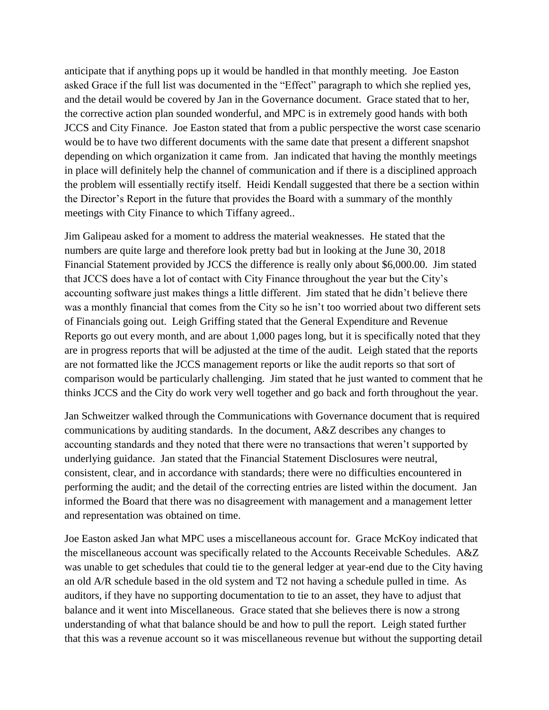anticipate that if anything pops up it would be handled in that monthly meeting. Joe Easton asked Grace if the full list was documented in the "Effect" paragraph to which she replied yes, and the detail would be covered by Jan in the Governance document. Grace stated that to her, the corrective action plan sounded wonderful, and MPC is in extremely good hands with both JCCS and City Finance. Joe Easton stated that from a public perspective the worst case scenario would be to have two different documents with the same date that present a different snapshot depending on which organization it came from. Jan indicated that having the monthly meetings in place will definitely help the channel of communication and if there is a disciplined approach the problem will essentially rectify itself. Heidi Kendall suggested that there be a section within the Director's Report in the future that provides the Board with a summary of the monthly meetings with City Finance to which Tiffany agreed..

Jim Galipeau asked for a moment to address the material weaknesses. He stated that the numbers are quite large and therefore look pretty bad but in looking at the June 30, 2018 Financial Statement provided by JCCS the difference is really only about \$6,000.00. Jim stated that JCCS does have a lot of contact with City Finance throughout the year but the City's accounting software just makes things a little different. Jim stated that he didn't believe there was a monthly financial that comes from the City so he isn't too worried about two different sets of Financials going out. Leigh Griffing stated that the General Expenditure and Revenue Reports go out every month, and are about 1,000 pages long, but it is specifically noted that they are in progress reports that will be adjusted at the time of the audit. Leigh stated that the reports are not formatted like the JCCS management reports or like the audit reports so that sort of comparison would be particularly challenging. Jim stated that he just wanted to comment that he thinks JCCS and the City do work very well together and go back and forth throughout the year.

Jan Schweitzer walked through the Communications with Governance document that is required communications by auditing standards. In the document, A&Z describes any changes to accounting standards and they noted that there were no transactions that weren't supported by underlying guidance. Jan stated that the Financial Statement Disclosures were neutral, consistent, clear, and in accordance with standards; there were no difficulties encountered in performing the audit; and the detail of the correcting entries are listed within the document. Jan informed the Board that there was no disagreement with management and a management letter and representation was obtained on time.

Joe Easton asked Jan what MPC uses a miscellaneous account for. Grace McKoy indicated that the miscellaneous account was specifically related to the Accounts Receivable Schedules. A&Z was unable to get schedules that could tie to the general ledger at year-end due to the City having an old A/R schedule based in the old system and T2 not having a schedule pulled in time. As auditors, if they have no supporting documentation to tie to an asset, they have to adjust that balance and it went into Miscellaneous. Grace stated that she believes there is now a strong understanding of what that balance should be and how to pull the report. Leigh stated further that this was a revenue account so it was miscellaneous revenue but without the supporting detail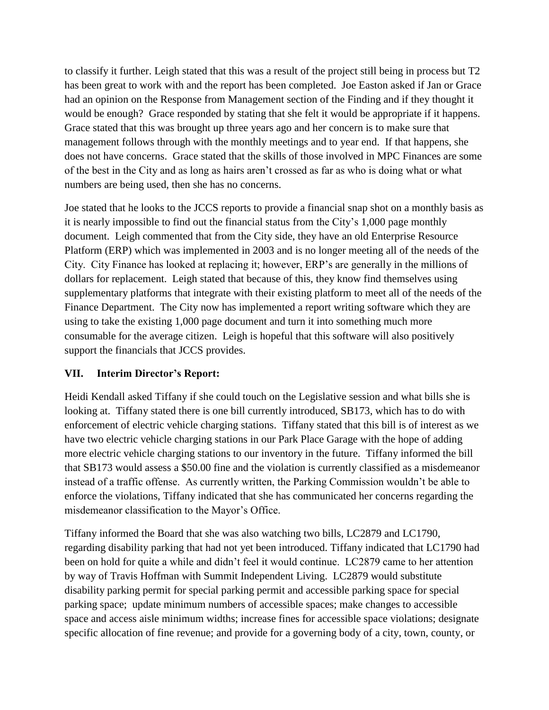to classify it further. Leigh stated that this was a result of the project still being in process but T2 has been great to work with and the report has been completed. Joe Easton asked if Jan or Grace had an opinion on the Response from Management section of the Finding and if they thought it would be enough? Grace responded by stating that she felt it would be appropriate if it happens. Grace stated that this was brought up three years ago and her concern is to make sure that management follows through with the monthly meetings and to year end. If that happens, she does not have concerns. Grace stated that the skills of those involved in MPC Finances are some of the best in the City and as long as hairs aren't crossed as far as who is doing what or what numbers are being used, then she has no concerns.

Joe stated that he looks to the JCCS reports to provide a financial snap shot on a monthly basis as it is nearly impossible to find out the financial status from the City's 1,000 page monthly document. Leigh commented that from the City side, they have an old Enterprise Resource Platform (ERP) which was implemented in 2003 and is no longer meeting all of the needs of the City. City Finance has looked at replacing it; however, ERP's are generally in the millions of dollars for replacement. Leigh stated that because of this, they know find themselves using supplementary platforms that integrate with their existing platform to meet all of the needs of the Finance Department. The City now has implemented a report writing software which they are using to take the existing 1,000 page document and turn it into something much more consumable for the average citizen. Leigh is hopeful that this software will also positively support the financials that JCCS provides.

## **VII. Interim Director's Report:**

Heidi Kendall asked Tiffany if she could touch on the Legislative session and what bills she is looking at. Tiffany stated there is one bill currently introduced, SB173, which has to do with enforcement of electric vehicle charging stations. Tiffany stated that this bill is of interest as we have two electric vehicle charging stations in our Park Place Garage with the hope of adding more electric vehicle charging stations to our inventory in the future. Tiffany informed the bill that SB173 would assess a \$50.00 fine and the violation is currently classified as a misdemeanor instead of a traffic offense. As currently written, the Parking Commission wouldn't be able to enforce the violations, Tiffany indicated that she has communicated her concerns regarding the misdemeanor classification to the Mayor's Office.

Tiffany informed the Board that she was also watching two bills, LC2879 and LC1790, regarding disability parking that had not yet been introduced. Tiffany indicated that LC1790 had been on hold for quite a while and didn't feel it would continue. LC2879 came to her attention by way of Travis Hoffman with Summit Independent Living. LC2879 would substitute disability parking permit for special parking permit and accessible parking space for special parking space; update minimum numbers of accessible spaces; make changes to accessible space and access aisle minimum widths; increase fines for accessible space violations; designate specific allocation of fine revenue; and provide for a governing body of a city, town, county, or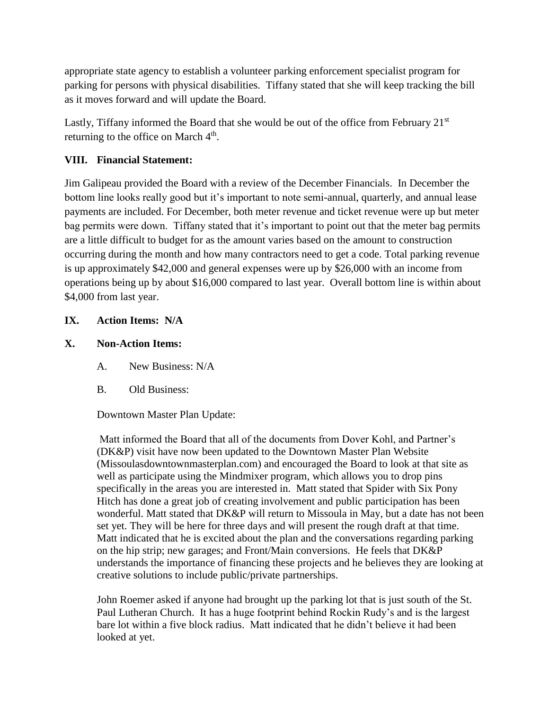appropriate state agency to establish a volunteer parking enforcement specialist program for parking for persons with physical disabilities. Tiffany stated that she will keep tracking the bill as it moves forward and will update the Board.

Lastly, Tiffany informed the Board that she would be out of the office from February  $21<sup>st</sup>$ returning to the office on March  $4<sup>th</sup>$ .

## **VIII. Financial Statement:**

Jim Galipeau provided the Board with a review of the December Financials. In December the bottom line looks really good but it's important to note semi-annual, quarterly, and annual lease payments are included. For December, both meter revenue and ticket revenue were up but meter bag permits were down. Tiffany stated that it's important to point out that the meter bag permits are a little difficult to budget for as the amount varies based on the amount to construction occurring during the month and how many contractors need to get a code. Total parking revenue is up approximately \$42,000 and general expenses were up by \$26,000 with an income from operations being up by about \$16,000 compared to last year. Overall bottom line is within about \$4,000 from last year.

## **IX. Action Items: N/A**

### **X. Non-Action Items:**

- A. New Business: N/A
- B. Old Business:

#### Downtown Master Plan Update:

Matt informed the Board that all of the documents from Dover Kohl, and Partner's (DK&P) visit have now been updated to the Downtown Master Plan Website (Missoulasdowntownmasterplan.com) and encouraged the Board to look at that site as well as participate using the Mindmixer program, which allows you to drop pins specifically in the areas you are interested in. Matt stated that Spider with Six Pony Hitch has done a great job of creating involvement and public participation has been wonderful. Matt stated that DK&P will return to Missoula in May, but a date has not been set yet. They will be here for three days and will present the rough draft at that time. Matt indicated that he is excited about the plan and the conversations regarding parking on the hip strip; new garages; and Front/Main conversions. He feels that DK&P understands the importance of financing these projects and he believes they are looking at creative solutions to include public/private partnerships.

John Roemer asked if anyone had brought up the parking lot that is just south of the St. Paul Lutheran Church. It has a huge footprint behind Rockin Rudy's and is the largest bare lot within a five block radius. Matt indicated that he didn't believe it had been looked at yet.